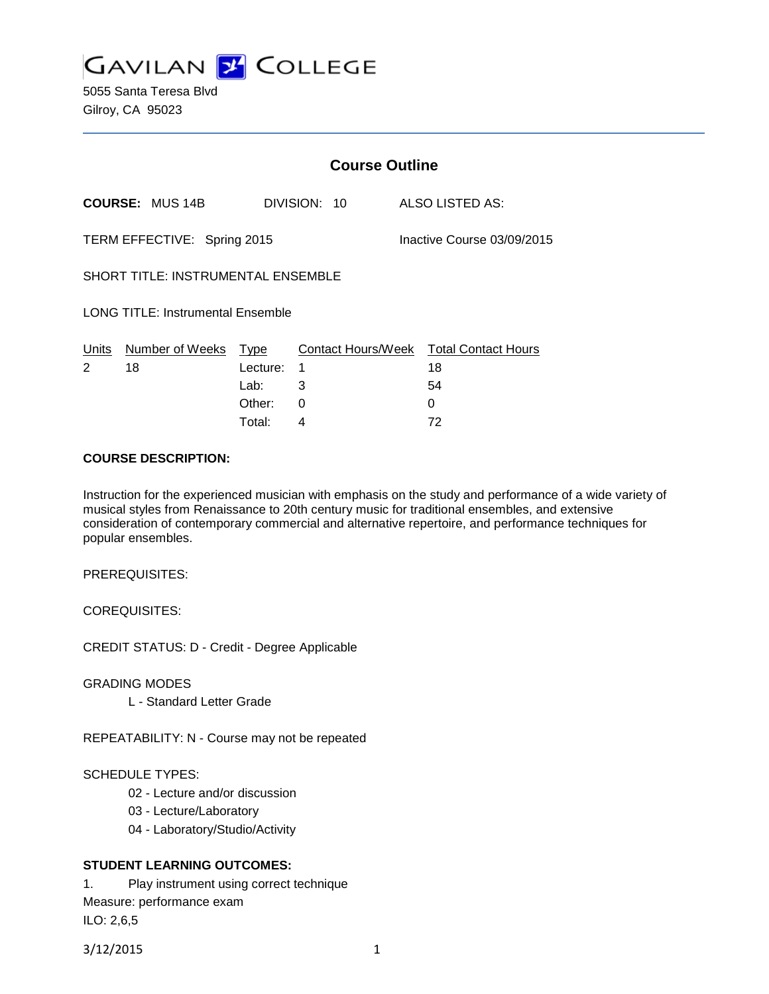

5055 Santa Teresa Blvd Gilroy, CA 95023

|                                          |                             |          |   |                            | <b>Course Outline</b> |                                        |  |
|------------------------------------------|-----------------------------|----------|---|----------------------------|-----------------------|----------------------------------------|--|
|                                          | <b>COURSE: MUS 14B</b>      |          |   | DIVISION: 10               |                       | ALSO LISTED AS:                        |  |
|                                          | TERM EFFECTIVE: Spring 2015 |          |   | Inactive Course 03/09/2015 |                       |                                        |  |
| SHORT TITLE: INSTRUMENTAL ENSEMBLE       |                             |          |   |                            |                       |                                        |  |
| <b>LONG TITLE: Instrumental Ensemble</b> |                             |          |   |                            |                       |                                        |  |
| Units                                    | Number of Weeks Type        |          |   |                            |                       | Contact Hours/Week Total Contact Hours |  |
| 2                                        | 18                          | Lecture: | 1 |                            |                       | 18                                     |  |
|                                          |                             | Lab:     | 3 |                            |                       | 54                                     |  |
|                                          |                             | Other:   | 0 |                            |                       | $\Omega$                               |  |
|                                          |                             | Total:   | 4 |                            |                       | 72                                     |  |

#### **COURSE DESCRIPTION:**

Instruction for the experienced musician with emphasis on the study and performance of a wide variety of musical styles from Renaissance to 20th century music for traditional ensembles, and extensive consideration of contemporary commercial and alternative repertoire, and performance techniques for popular ensembles.

PREREQUISITES:

COREQUISITES:

CREDIT STATUS: D - Credit - Degree Applicable

GRADING MODES

L - Standard Letter Grade

REPEATABILITY: N - Course may not be repeated

#### SCHEDULE TYPES:

- 02 Lecture and/or discussion
- 03 Lecture/Laboratory
- 04 Laboratory/Studio/Activity

## **STUDENT LEARNING OUTCOMES:**

1. Play instrument using correct technique Measure: performance exam ILO: 2,6,5

3/12/2015 1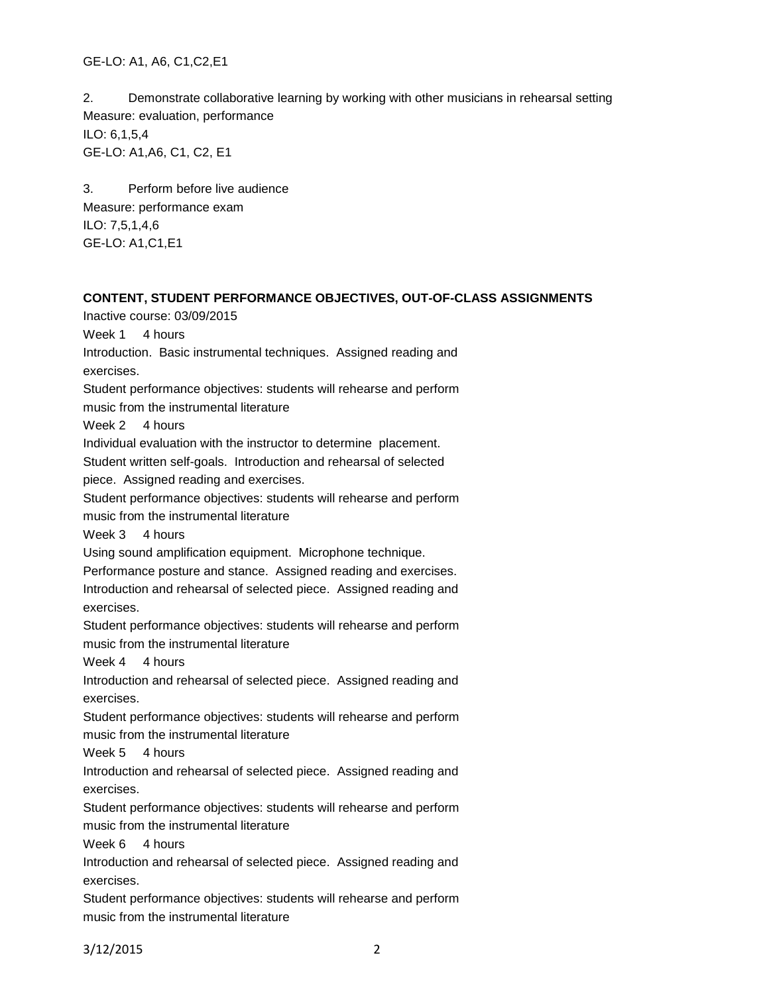GE-LO: A1, A6, C1,C2,E1

2. Demonstrate collaborative learning by working with other musicians in rehearsal setting Measure: evaluation, performance ILO: 6,1,5,4 GE-LO: A1,A6, C1, C2, E1

3. Perform before live audience Measure: performance exam ILO: 7,5,1,4,6 GE-LO: A1,C1,E1

# **CONTENT, STUDENT PERFORMANCE OBJECTIVES, OUT-OF-CLASS ASSIGNMENTS**

Inactive course: 03/09/2015

Week 1 4 hours

Introduction. Basic instrumental techniques. Assigned reading and exercises.

Student performance objectives: students will rehearse and perform music from the instrumental literature

Week 2 4 hours

Individual evaluation with the instructor to determine placement.

Student written self-goals. Introduction and rehearsal of selected

piece. Assigned reading and exercises.

Student performance objectives: students will rehearse and perform

music from the instrumental literature

Week 3 4 hours

Using sound amplification equipment. Microphone technique.

Performance posture and stance. Assigned reading and exercises.

Introduction and rehearsal of selected piece. Assigned reading and exercises.

Student performance objectives: students will rehearse and perform music from the instrumental literature

Week 4 4 hours

Introduction and rehearsal of selected piece. Assigned reading and exercises.

Student performance objectives: students will rehearse and perform music from the instrumental literature

Week 5 4 hours

Introduction and rehearsal of selected piece. Assigned reading and exercises.

Student performance objectives: students will rehearse and perform music from the instrumental literature

Week 6 4 hours

Introduction and rehearsal of selected piece. Assigned reading and exercises.

Student performance objectives: students will rehearse and perform music from the instrumental literature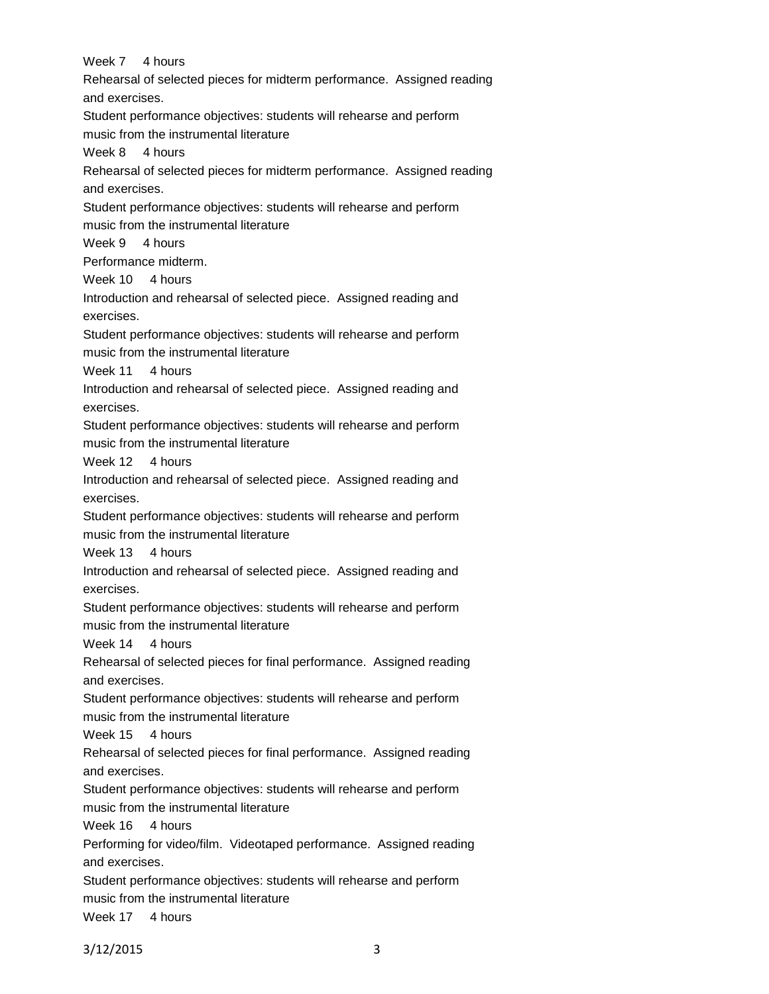Week 7 4 hours Rehearsal of selected pieces for midterm performance. Assigned reading and exercises. Student performance objectives: students will rehearse and perform music from the instrumental literature Week 8 4 hours Rehearsal of selected pieces for midterm performance. Assigned reading and exercises. Student performance objectives: students will rehearse and perform music from the instrumental literature Week 9 4 hours Performance midterm. Week 10 4 hours Introduction and rehearsal of selected piece. Assigned reading and exercises. Student performance objectives: students will rehearse and perform music from the instrumental literature Week 11 4 hours Introduction and rehearsal of selected piece. Assigned reading and exercises. Student performance objectives: students will rehearse and perform music from the instrumental literature Week 12 4 hours Introduction and rehearsal of selected piece. Assigned reading and exercises. Student performance objectives: students will rehearse and perform music from the instrumental literature Week 13 4 hours Introduction and rehearsal of selected piece. Assigned reading and exercises. Student performance objectives: students will rehearse and perform music from the instrumental literature Week 14 4 hours Rehearsal of selected pieces for final performance. Assigned reading and exercises. Student performance objectives: students will rehearse and perform music from the instrumental literature Week 15 4 hours Rehearsal of selected pieces for final performance. Assigned reading and exercises. Student performance objectives: students will rehearse and perform music from the instrumental literature Week 16 4 hours Performing for video/film. Videotaped performance. Assigned reading and exercises. Student performance objectives: students will rehearse and perform music from the instrumental literature Week 17 4 hours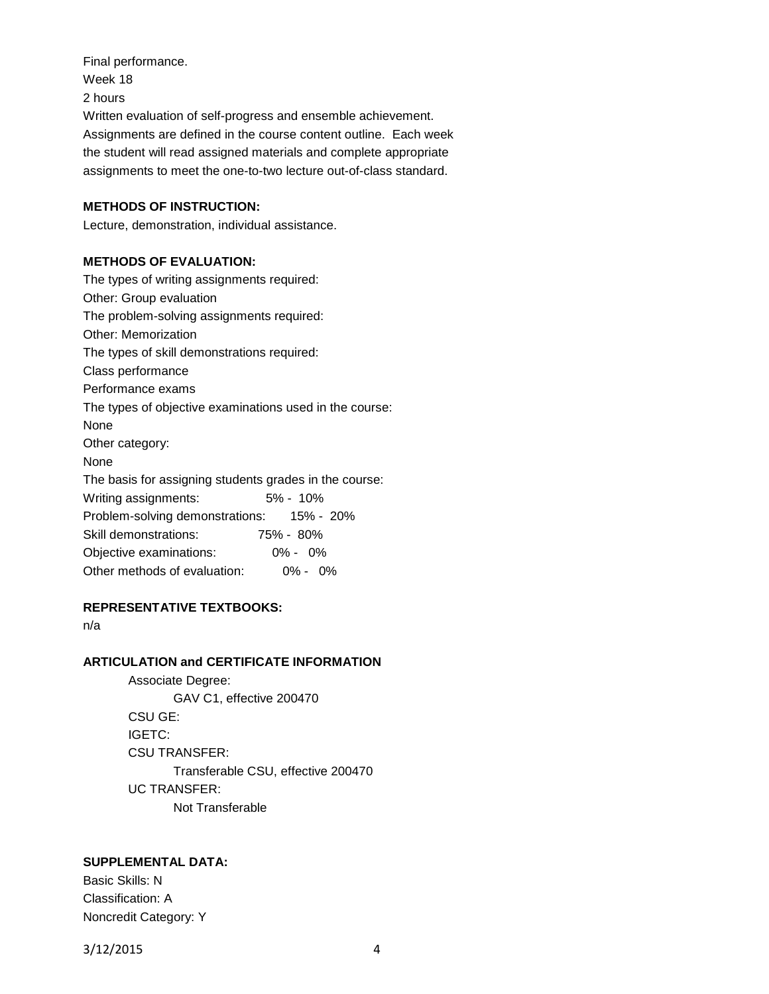Final performance. Week 18 2 hours Written evaluation of self-progress and ensemble achievement. Assignments are defined in the course content outline. Each week the student will read assigned materials and complete appropriate assignments to meet the one-to-two lecture out-of-class standard.

## **METHODS OF INSTRUCTION:**

Lecture, demonstration, individual assistance.

#### **METHODS OF EVALUATION:**

The types of writing assignments required: Other: Group evaluation The problem-solving assignments required: Other: Memorization The types of skill demonstrations required: Class performance Performance exams The types of objective examinations used in the course: None Other category: None The basis for assigning students grades in the course: Writing assignments: 5% - 10% Problem-solving demonstrations: 15% - 20% Skill demonstrations: 75% - 80% Objective examinations: 0% - 0% Other methods of evaluation: 0% - 0%

## **REPRESENTATIVE TEXTBOOKS:**

n/a

### **ARTICULATION and CERTIFICATE INFORMATION**

Associate Degree: GAV C1, effective 200470 CSU GE: IGETC: CSU TRANSFER: Transferable CSU, effective 200470 UC TRANSFER: Not Transferable

#### **SUPPLEMENTAL DATA:**

Basic Skills: N Classification: A Noncredit Category: Y

3/12/2015 4